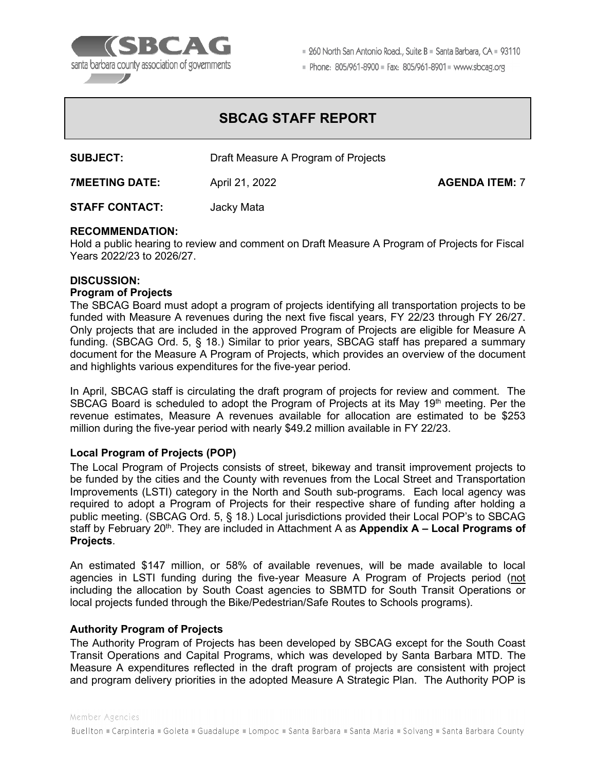

■ 260 North San Antonio Road., Suite B ■ Santa Barbara, CA ■ 93110

Phone: 805/961-8900 = Fax: 805/961-8901 = www.sbcag.org

# **SBCAG STAFF REPORT**

| <b>SUBJECT:</b>       | Draft Measure A Program of Projects |                       |
|-----------------------|-------------------------------------|-----------------------|
| <b>7MEETING DATE:</b> | April 21, 2022                      | <b>AGENDA ITEM: 7</b> |

**STAFF CONTACT:** Jacky Mata

### **RECOMMENDATION:**

Hold a public hearing to review and comment on Draft Measure A Program of Projects for Fiscal Years 2022/23 to 2026/27.

# **DISCUSSION:**

#### **Program of Projects**

The SBCAG Board must adopt a program of projects identifying all transportation projects to be funded with Measure A revenues during the next five fiscal years, FY 22/23 through FY 26/27. Only projects that are included in the approved Program of Projects are eligible for Measure A funding. (SBCAG Ord. 5, § 18.) Similar to prior years, SBCAG staff has prepared a summary document for the Measure A Program of Projects, which provides an overview of the document and highlights various expenditures for the five-year period.

In April, SBCAG staff is circulating the draft program of projects for review and comment. The SBCAG Board is scheduled to adopt the Program of Projects at its May 19<sup>th</sup> meeting. Per the revenue estimates, Measure A revenues available for allocation are estimated to be \$253 million during the five-year period with nearly \$49.2 million available in FY 22/23.

# **Local Program of Projects (POP)**

The Local Program of Projects consists of street, bikeway and transit improvement projects to be funded by the cities and the County with revenues from the Local Street and Transportation Improvements (LSTI) category in the North and South sub-programs. Each local agency was required to adopt a Program of Projects for their respective share of funding after holding a public meeting. (SBCAG Ord. 5, § 18.) Local jurisdictions provided their Local POP's to SBCAG staff by February 20<sup>th</sup>. They are included in Attachment A as **Appendix A – Local Programs of Projects**.

An estimated \$147 million, or 58% of available revenues, will be made available to local agencies in LSTI funding during the five-year Measure A Program of Projects period (not including the allocation by South Coast agencies to SBMTD for South Transit Operations or local projects funded through the Bike/Pedestrian/Safe Routes to Schools programs).

# **Authority Program of Projects**

The Authority Program of Projects has been developed by SBCAG except for the South Coast Transit Operations and Capital Programs, which was developed by Santa Barbara MTD. The Measure A expenditures reflected in the draft program of projects are consistent with project and program delivery priorities in the adopted Measure A Strategic Plan. The Authority POP is